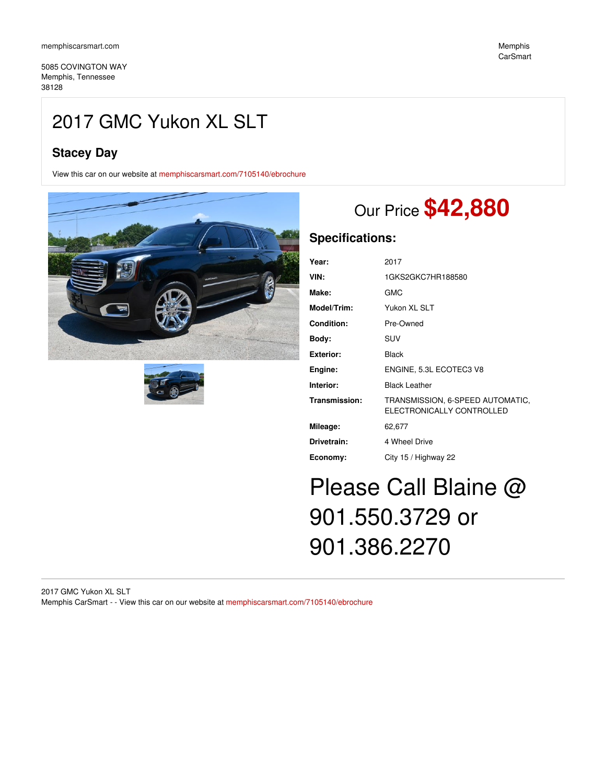5085 COVINGTON WAY Memphis, Tennessee 38128

## 2017 GMC Yukon XL SLT

## **Stacey Day**

View this car on our website at [memphiscarsmart.com/7105140/ebrochure](https://memphiscarsmart.com/vehicle/7105140/2017-gmc-yukon-xl-slt-memphis-tennessee-38128/7105140/ebrochure)





# Our Price **\$42,880**

## **Specifications:**

| Year:              | 2017                                                          |
|--------------------|---------------------------------------------------------------|
| VIN:               | 1GKS2GKC7HR188580                                             |
| Make:              | GMC                                                           |
| <b>Model/Trim:</b> | Yukon XL SLT                                                  |
| Condition:         | Pre-Owned                                                     |
| Bodv:              | <b>SUV</b>                                                    |
| Exterior:          | Black                                                         |
| Engine:            | ENGINE, 5.3L ECOTEC3 V8                                       |
| Interior:          | <b>Black Leather</b>                                          |
| Transmission:      | TRANSMISSION, 6-SPEED AUTOMATIC,<br>ELECTRONICALLY CONTROLLED |
| Mileage:           | 62,677                                                        |
| Drivetrain:        | 4 Wheel Drive                                                 |
| Economy:           | City 15 / Highway 22                                          |

# Please Call Blaine @ 901.550.3729 or 901.386.2270

### 2017 GMC Yukon XL SLT Memphis CarSmart - - View this car on our website at [memphiscarsmart.com/7105140/ebrochure](https://memphiscarsmart.com/vehicle/7105140/2017-gmc-yukon-xl-slt-memphis-tennessee-38128/7105140/ebrochure)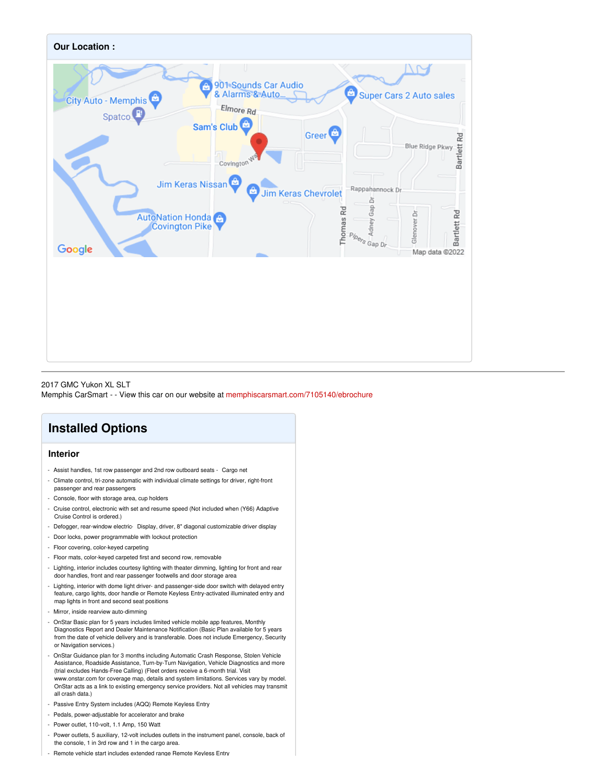

2017 GMC Yukon XL SLT Memphis CarSmart - - View this car on our website at [memphiscarsmart.com/7105140/ebrochure](https://memphiscarsmart.com/vehicle/7105140/2017-gmc-yukon-xl-slt-memphis-tennessee-38128/7105140/ebrochure)

## **Installed Options**

## **Interior**

- Assist handles, 1st row passenger and 2nd row outboard seats Cargo net
- Climate control, tri-zone automatic with individual climate settings for driver, right-front passenger and rear passengers
- Console, floor with storage area, cup holders
- Cruise control, electronic with set and resume speed (Not included when (Y66) Adaptive Cruise Control is ordered.)
- Defogger, rear-window electric- Display, driver, 8" diagonal customizable driver display
- Door locks, power programmable with lockout protection
- Floor covering, color-keyed carpeting
- Floor mats, color-keyed carpeted first and second row, removable
- Lighting, interior includes courtesy lighting with theater dimming, lighting for front and rear door handles, front and rear passenger footwells and door storage area
- Lighting, interior with dome light driver- and passenger-side door switch with delayed entry feature, cargo lights, door handle or Remote Keyless Entry-activated illuminated entry and map lights in front and second seat positions
- Mirror, inside rearview auto-dimming
- OnStar Basic plan for 5 years includes limited vehicle mobile app features, Monthly Diagnostics Report and Dealer Maintenance Notification (Basic Plan available for 5 years from the date of vehicle delivery and is transferable. Does not include Emergency, Security or Navigation services.)
- OnStar Guidance plan for 3 months including Automatic Crash Response, Stolen Vehicle Assistance, Roadside Assistance, Turn-by-Turn Navigation, Vehicle Diagnostics and more (trial excludes Hands-Free Calling) (Fleet orders receive a 6-month trial. Visit www.onstar.com for coverage map, details and system limitations. Services vary by model. OnStar acts as a link to existing emergency service providers. Not all vehicles may transmit all crash data.)
- Passive Entry System includes (AQQ) Remote Keyless Entry
- Pedals, power-adjustable for accelerator and brake
- Power outlet, 110-volt, 1.1 Amp, 150 Watt
- Power outlets, 5 auxiliary, 12-volt includes outlets in the instrument panel, console, back of the console, 1 in 3rd row and 1 in the cargo area.
- Remote vehicle start includes extended range Remote Keyless Entry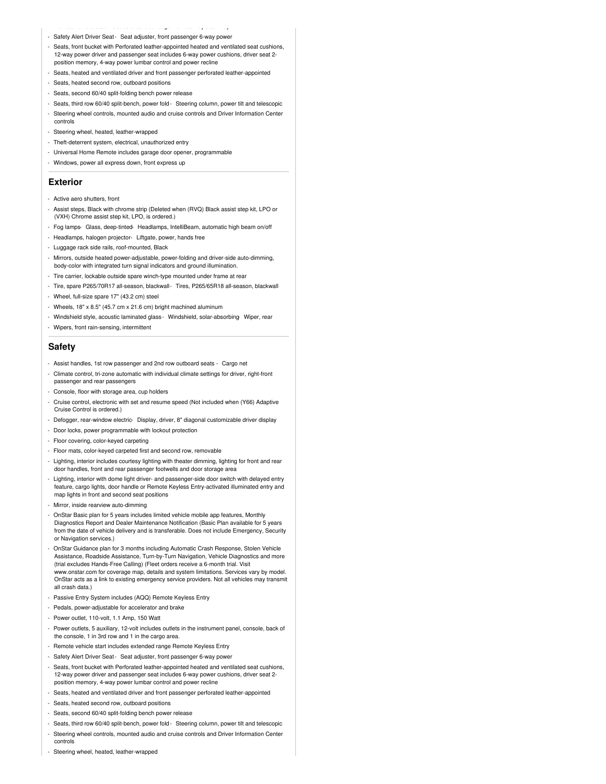- Remote vehicle start includes extended range Remote Keyless Entry Safety Alert Driver Seat- Seat adjuster, front passenger 6-way power
- Seats, front bucket with Perforated leather-appointed heated and ventilated seat cushions, 12-way power driver and passenger seat includes 6-way power cushions, driver seat 2 position memory, 4-way power lumbar control and power recline
- Seats, heated and ventilated driver and front passenger perforated leather-appointed
- Seats, heated second row, outboard positions
- Seats, second 60/40 split-folding bench power release
- Seats, third row 60/40 split-bench, power fold- Steering column, power tilt and telescopic
- Steering wheel controls, mounted audio and cruise controls and Driver Information Center controls
- Steering wheel, heated, leather-wrapped
- Theft-deterrent system, electrical, unauthorized entry
- Universal Home Remote includes garage door opener, programmable
- Windows, power all express down, front express up

#### **Exterior**

- Active aero shutters, front
- Assist steps, Black with chrome strip (Deleted when (RVQ) Black assist step kit, LPO or (VXH) Chrome assist step kit, LPO, is ordered.)
- Fog lamps- Glass, deep-tinted- Headlamps, IntelliBeam, automatic high beam on/off
- Headlamps, halogen projector- Liftgate, power, hands free
- Luggage rack side rails, roof-mounted, Black
- Mirrors, outside heated power-adjustable, power-folding and driver-side auto-dimming, body-color with integrated turn signal indicators and ground illumination.
- Tire carrier, lockable outside spare winch-type mounted under frame at rear
- Tire, spare P265/70R17 all-season, blackwall- Tires, P265/65R18 all-season, blackwall
- Wheel, full-size spare 17" (43.2 cm) steel
- Wheels, 18" x 8.5" (45.7 cm x 21.6 cm) bright machined aluminum
- Windshield style, acoustic laminated glass Windshield, solar-absorbing- Wiper, rear
- Wipers, front rain-sensing, intermittent

#### **Safety**

- Assist handles, 1st row passenger and 2nd row outboard seats Cargo net
- Climate control, tri-zone automatic with individual climate settings for driver, right-front passenger and rear passengers
- Console, floor with storage area, cup holders
- Cruise control, electronic with set and resume speed (Not included when (Y66) Adaptive Cruise Control is ordered.)
- Defogger, rear-window electric- Display, driver, 8" diagonal customizable driver display
- Door locks, power programmable with lockout protection
- Floor covering, color-keyed carpeting
- Floor mats, color-keyed carpeted first and second row, removable
- Lighting, interior includes courtesy lighting with theater dimming, lighting for front and rear door handles, front and rear passenger footwells and door storage area
- Lighting, interior with dome light driver- and passenger-side door switch with delayed entry feature, cargo lights, door handle or Remote Keyless Entry-activated illuminated entry and map lights in front and second seat positions
- Mirror, inside rearview auto-dimming
- OnStar Basic plan for 5 years includes limited vehicle mobile app features, Monthly Diagnostics Report and Dealer Maintenance Notification (Basic Plan available for 5 years from the date of vehicle delivery and is transferable. Does not include Emergency, Security or Navigation services.)
- OnStar Guidance plan for 3 months including Automatic Crash Response, Stolen Vehicle Assistance, Roadside Assistance, Turn-by-Turn Navigation, Vehicle Diagnostics and more (trial excludes Hands-Free Calling) (Fleet orders receive a 6-month trial. Visit www.onstar.com for coverage map, details and system limitations. Services vary by model. OnStar acts as a link to existing emergency service providers. Not all vehicles may transmit all crash data.)
- Passive Entry System includes (AQQ) Remote Keyless Entry
- Pedals, power-adjustable for accelerator and brake
- Power outlet, 110-volt, 1.1 Amp, 150 Watt
- Power outlets, 5 auxiliary, 12-volt includes outlets in the instrument panel, console, back of the console, 1 in 3rd row and 1 in the cargo area.
- Remote vehicle start includes extended range Remote Keyless Entry
- Safety Alert Driver Seat- Seat adjuster, front passenger 6-way power
- Seats, front bucket with Perforated leather-appointed heated and ventilated seat cushions, 12-way power driver and passenger seat includes 6-way power cushions, driver seat 2 position memory, 4-way power lumbar control and power recline
- Seats, heated and ventilated driver and front passenger perforated leather-appointed
- Seats, heated second row, outboard positions
- Seats, second 60/40 split-folding bench power release
- Seats, third row 60/40 split-bench, power fold- Steering column, power tilt and telescopic
- Steering wheel controls, mounted audio and cruise controls and Driver Information Center controls
- Steering wheel, heated, leather-wrapped